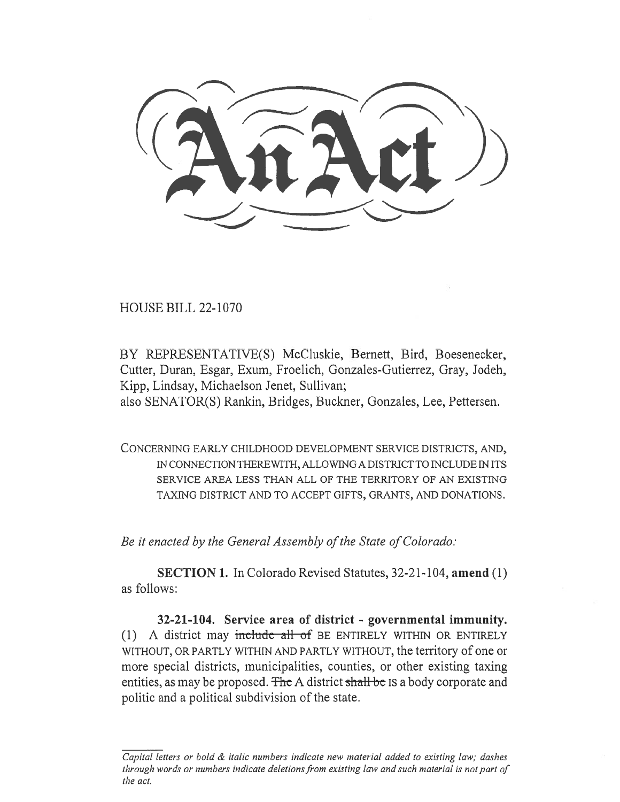HOUSE BILL 22-1070

BY REPRESENTATIVE(S) McCluskie, Bernett, Bird, Boesenecker, Cutter, Duran, Esgar, Exum, Froelich, Gonzales-Gutierrez, Gray, Jodeh, Kipp, Lindsay, Michaelson Jenet, Sullivan;

also SENATOR(S) Rankin, Bridges, Buckner, Gonzales, Lee, Pettersen.

CONCERNING EARLY CHILDHOOD DEVELOPMENT SERVICE DISTRICTS, AND, IN CONNECTION THEREWITH, ALLOWING A DISTRICT TO INCLUDE IN ITS SERVICE AREA LESS THAN ALL OF THE TERRITORY OF AN EXISTING TAXING DISTRICT AND TO ACCEPT GIFTS, GRANTS, AND DONATIONS.

Be it enacted by the General Assembly of the State of Colorado:

SECTION 1. In Colorado Revised Statutes, 32-21-104, amend (1) as follows:

32-21-104. Service area of district - governmental immunity. (1) A district may include all of BE ENTIRELY WITHIN OR ENTIRELY WITHOUT, OR PARTLY WITHIN AND PARTLY WITHOUT, the territory of one or more special districts, municipalities, counties, or other existing taxing entities, as may be proposed. The A district shall be IS a body corporate and politic and a political subdivision of the state.

Capital letters or bold & italic numbers indicate new material added to existing law; dashes through words or numbers indicate deletions from existing law and such material is not part of the act.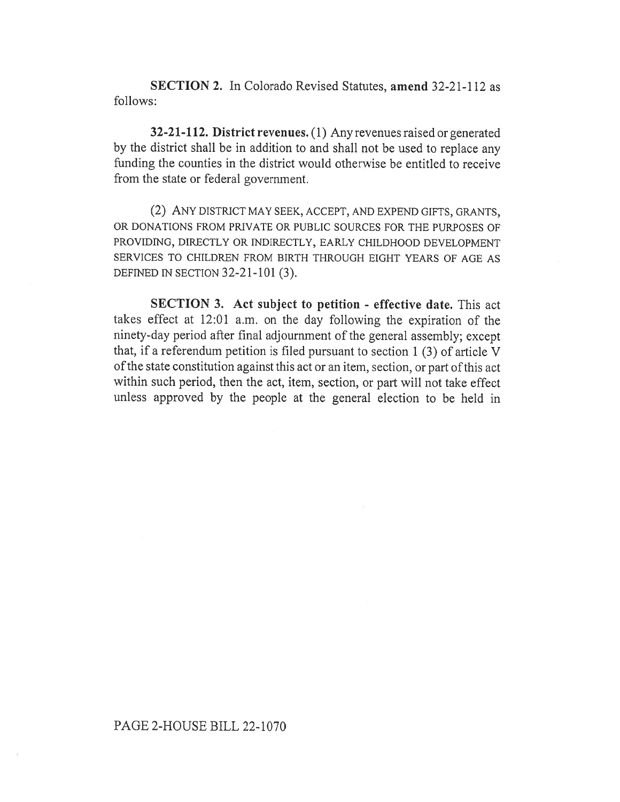SECTION 2. In Colorado Revised Statutes, amend 32-21-112 as follows:

32-21-112. District revenues. (1) Any revenues raised or generated by the district shall be in addition to and shall not be used to replace any funding the counties in the district would otherwise be entitled to receive from the state or federal government.

(2) ANY DISTRICT MAY SEEK, ACCEPT, AND EXPEND GIFTS, GRANTS, OR DONATIONS FROM PRIVATE OR PUBLIC SOURCES FOR THE PURPOSES OF PROVIDING, DIRECTLY OR INDIRECTLY, EARLY CHILDHOOD DEVELOPMENT SERVICES TO CHILDREN FROM BIRTH THROUGH EIGHT YEARS OF AGE AS DEFINED IN SECTION 32-21-101 (3).

SECTION 3. Act subject to petition - effective date. This act takes effect at 12:01 a.m. on the day following the expiration of the ninety-day period after final adjournment of the general assembly; except that, if a referendum petition is filed pursuant to section 1 (3) of article V of the state constitution against this act or an item, section, or part of this act within such period, then the act, item, section, or part will not take effect unless approved by the people at the general election to be held in